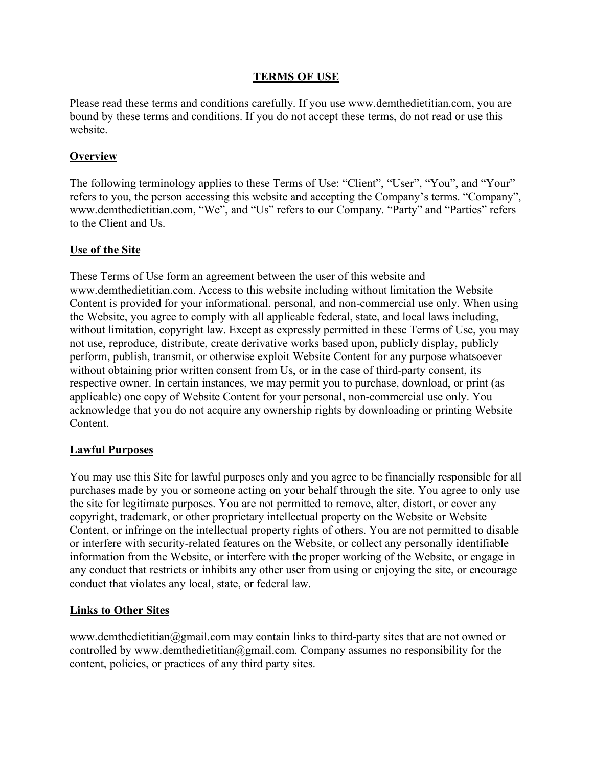## **TERMS OF USE**

Please read these terms and conditions carefully. If you use www.demthedietitian.com, you are bound by these terms and conditions. If you do not accept these terms, do not read or use this website.

# **Overview**

The following terminology applies to these Terms of Use: "Client", "User", "You", and "Your" refers to you, the person accessing this website and accepting the Company's terms. "Company", www.demthedietitian.com, "We", and "Us" refers to our Company. "Party" and "Parties" refers to the Client and Us.

## **Use of the Site**

These Terms of Use form an agreement between the user of this website and www.demthedietitian.com. Access to this website including without limitation the Website Content is provided for your informational. personal, and non-commercial use only. When using the Website, you agree to comply with all applicable federal, state, and local laws including, without limitation, copyright law. Except as expressly permitted in these Terms of Use, you may not use, reproduce, distribute, create derivative works based upon, publicly display, publicly perform, publish, transmit, or otherwise exploit Website Content for any purpose whatsoever without obtaining prior written consent from Us, or in the case of third-party consent, its respective owner. In certain instances, we may permit you to purchase, download, or print (as applicable) one copy of Website Content for your personal, non-commercial use only. You acknowledge that you do not acquire any ownership rights by downloading or printing Website Content.

## **Lawful Purposes**

You may use this Site for lawful purposes only and you agree to be financially responsible for all purchases made by you or someone acting on your behalf through the site. You agree to only use the site for legitimate purposes. You are not permitted to remove, alter, distort, or cover any copyright, trademark, or other proprietary intellectual property on the Website or Website Content, or infringe on the intellectual property rights of others. You are not permitted to disable or interfere with security-related features on the Website, or collect any personally identifiable information from the Website, or interfere with the proper working of the Website, or engage in any conduct that restricts or inhibits any other user from using or enjoying the site, or encourage conduct that violates any local, state, or federal law.

## **Links to Other Sites**

www.demthedietitian@gmail.com may contain links to third-party sites that are not owned or controlled by www.demthedietitian@gmail.com. Company assumes no responsibility for the content, policies, or practices of any third party sites.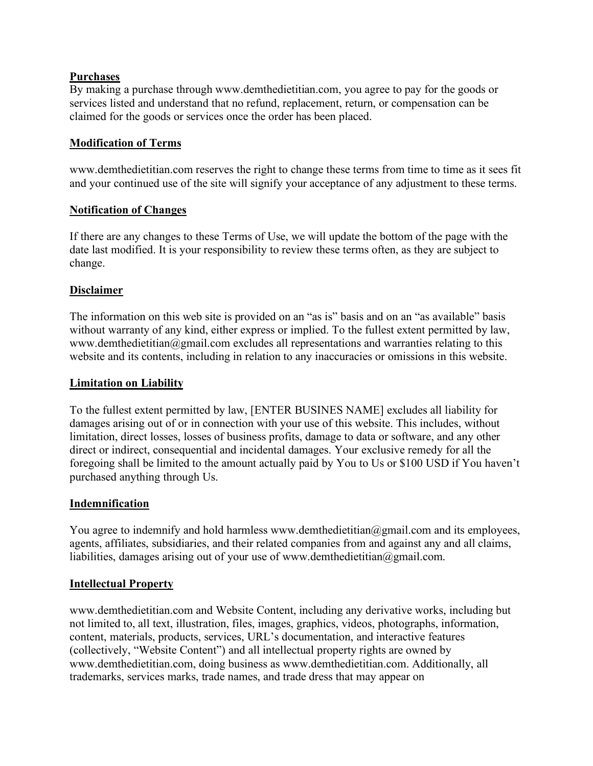## **Purchases**

By making a purchase through www.demthedietitian.com, you agree to pay for the goods or services listed and understand that no refund, replacement, return, or compensation can be claimed for the goods or services once the order has been placed.

## **Modification of Terms**

www.demthedietitian.com reserves the right to change these terms from time to time as it sees fit and your continued use of the site will signify your acceptance of any adjustment to these terms.

### **Notification of Changes**

If there are any changes to these Terms of Use, we will update the bottom of the page with the date last modified. It is your responsibility to review these terms often, as they are subject to change.

### **Disclaimer**

The information on this web site is provided on an "as is" basis and on an "as available" basis without warranty of any kind, either express or implied. To the fullest extent permitted by law, www.demthedietitian@gmail.com excludes all representations and warranties relating to this website and its contents, including in relation to any inaccuracies or omissions in this website.

#### **Limitation on Liability**

To the fullest extent permitted by law, [ENTER BUSINES NAME] excludes all liability for damages arising out of or in connection with your use of this website. This includes, without limitation, direct losses, losses of business profits, damage to data or software, and any other direct or indirect, consequential and incidental damages. Your exclusive remedy for all the foregoing shall be limited to the amount actually paid by You to Us or \$100 USD if You haven't purchased anything through Us.

#### **Indemnification**

You agree to indemnify and hold harmless www.demthedietitian@gmail.com and its employees, agents, affiliates, subsidiaries, and their related companies from and against any and all claims, liabilities, damages arising out of your use of www.demthedietitian@gmail.com.

#### **Intellectual Property**

www.demthedietitian.com and Website Content, including any derivative works, including but not limited to, all text, illustration, files, images, graphics, videos, photographs, information, content, materials, products, services, URL's documentation, and interactive features (collectively, "Website Content") and all intellectual property rights are owned by www.demthedietitian.com, doing business as www.demthedietitian.com. Additionally, all trademarks, services marks, trade names, and trade dress that may appear on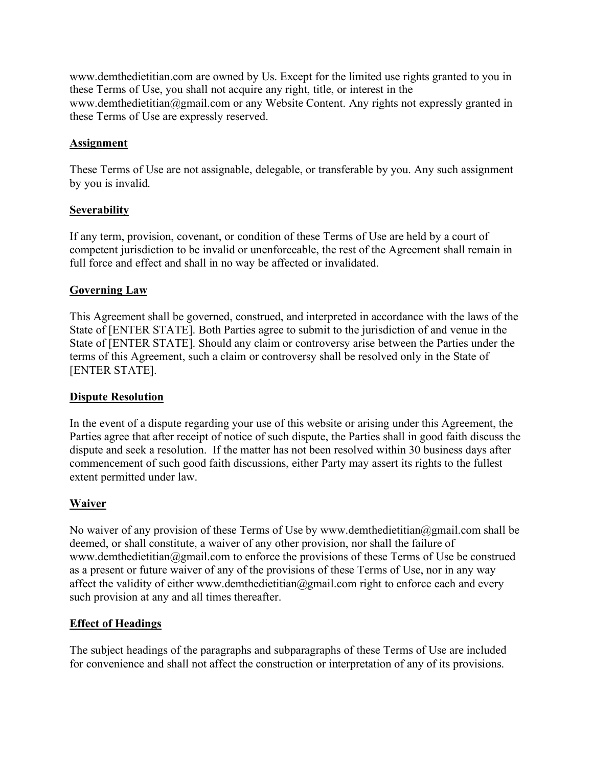www.demthedietitian.com are owned by Us. Except for the limited use rights granted to you in these Terms of Use, you shall not acquire any right, title, or interest in the www.demthedietitian@gmail.com or any Website Content. Any rights not expressly granted in these Terms of Use are expressly reserved.

## **Assignment**

These Terms of Use are not assignable, delegable, or transferable by you. Any such assignment by you is invalid.

## **Severability**

If any term, provision, covenant, or condition of these Terms of Use are held by a court of competent jurisdiction to be invalid or unenforceable, the rest of the Agreement shall remain in full force and effect and shall in no way be affected or invalidated.

## **Governing Law**

This Agreement shall be governed, construed, and interpreted in accordance with the laws of the State of [ENTER STATE]. Both Parties agree to submit to the jurisdiction of and venue in the State of [ENTER STATE]. Should any claim or controversy arise between the Parties under the terms of this Agreement, such a claim or controversy shall be resolved only in the State of [ENTER STATE].

## **Dispute Resolution**

In the event of a dispute regarding your use of this website or arising under this Agreement, the Parties agree that after receipt of notice of such dispute, the Parties shall in good faith discuss the dispute and seek a resolution. If the matter has not been resolved within 30 business days after commencement of such good faith discussions, either Party may assert its rights to the fullest extent permitted under law.

# **Waiver**

No waiver of any provision of these Terms of Use by www.demthedietitian@gmail.com shall be deemed, or shall constitute, a waiver of any other provision, nor shall the failure of www.demthedietitian@gmail.com to enforce the provisions of these Terms of Use be construed as a present or future waiver of any of the provisions of these Terms of Use, nor in any way affect the validity of either www.demthedietitian@gmail.com right to enforce each and every such provision at any and all times thereafter.

## **Effect of Headings**

The subject headings of the paragraphs and subparagraphs of these Terms of Use are included for convenience and shall not affect the construction or interpretation of any of its provisions.